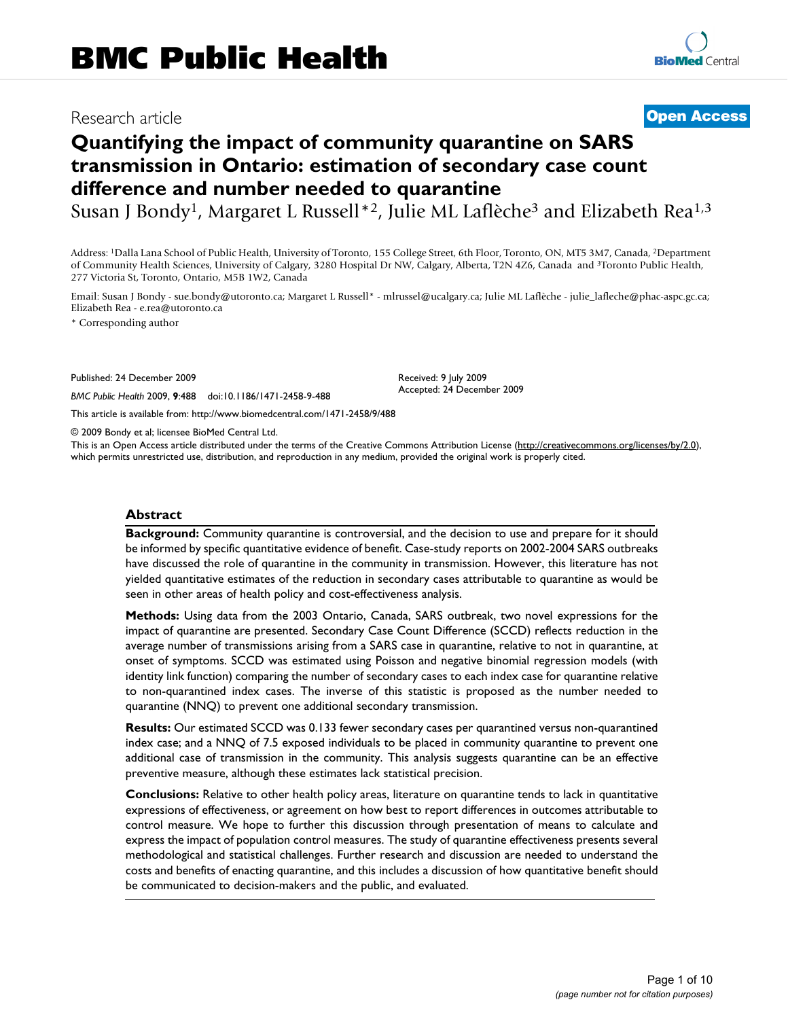## Research article **[Open Access](http://www.biomedcentral.com/info/about/charter/)**

# **Quantifying the impact of community quarantine on SARS transmission in Ontario: estimation of secondary case count difference and number needed to quarantine**

Susan J Bondy1, Margaret L Russell\*2, Julie ML Laflèche3 and Elizabeth Rea1,3

Address: 1Dalla Lana School of Public Health, University of Toronto, 155 College Street, 6th Floor, Toronto, ON, MT5 3M7, Canada, 2Department of Community Health Sciences, University of Calgary, 3280 Hospital Dr NW, Calgary, Alberta, T2N 4Z6, Canada and 3Toronto Public Health, 277 Victoria St, Toronto, Ontario, M5B 1W2, Canada

Email: Susan J Bondy - sue.bondy@utoronto.ca; Margaret L Russell\* - mlrussel@ucalgary.ca; Julie ML Laflèche - julie\_lafleche@phac-aspc.gc.ca; Elizabeth Rea - e.rea@utoronto.ca

> Received: 9 July 2009 Accepted: 24 December 2009

\* Corresponding author

Published: 24 December 2009

*BMC Public Health* 2009, **9**:488 doi:10.1186/1471-2458-9-488

[This article is available from: http://www.biomedcentral.com/1471-2458/9/488](http://www.biomedcentral.com/1471-2458/9/488)

© 2009 Bondy et al; licensee BioMed Central Ltd.

This is an Open Access article distributed under the terms of the Creative Commons Attribution License [\(http://creativecommons.org/licenses/by/2.0\)](http://creativecommons.org/licenses/by/2.0), which permits unrestricted use, distribution, and reproduction in any medium, provided the original work is properly cited.

#### **Abstract**

**Background:** Community quarantine is controversial, and the decision to use and prepare for it should be informed by specific quantitative evidence of benefit. Case-study reports on 2002-2004 SARS outbreaks have discussed the role of quarantine in the community in transmission. However, this literature has not yielded quantitative estimates of the reduction in secondary cases attributable to quarantine as would be seen in other areas of health policy and cost-effectiveness analysis.

**Methods:** Using data from the 2003 Ontario, Canada, SARS outbreak, two novel expressions for the impact of quarantine are presented. Secondary Case Count Difference (SCCD) reflects reduction in the average number of transmissions arising from a SARS case in quarantine, relative to not in quarantine, at onset of symptoms. SCCD was estimated using Poisson and negative binomial regression models (with identity link function) comparing the number of secondary cases to each index case for quarantine relative to non-quarantined index cases. The inverse of this statistic is proposed as the number needed to quarantine (NNQ) to prevent one additional secondary transmission.

**Results:** Our estimated SCCD was 0.133 fewer secondary cases per quarantined versus non-quarantined index case; and a NNQ of 7.5 exposed individuals to be placed in community quarantine to prevent one additional case of transmission in the community. This analysis suggests quarantine can be an effective preventive measure, although these estimates lack statistical precision.

**Conclusions:** Relative to other health policy areas, literature on quarantine tends to lack in quantitative expressions of effectiveness, or agreement on how best to report differences in outcomes attributable to control measure. We hope to further this discussion through presentation of means to calculate and express the impact of population control measures. The study of quarantine effectiveness presents several methodological and statistical challenges. Further research and discussion are needed to understand the costs and benefits of enacting quarantine, and this includes a discussion of how quantitative benefit should be communicated to decision-makers and the public, and evaluated.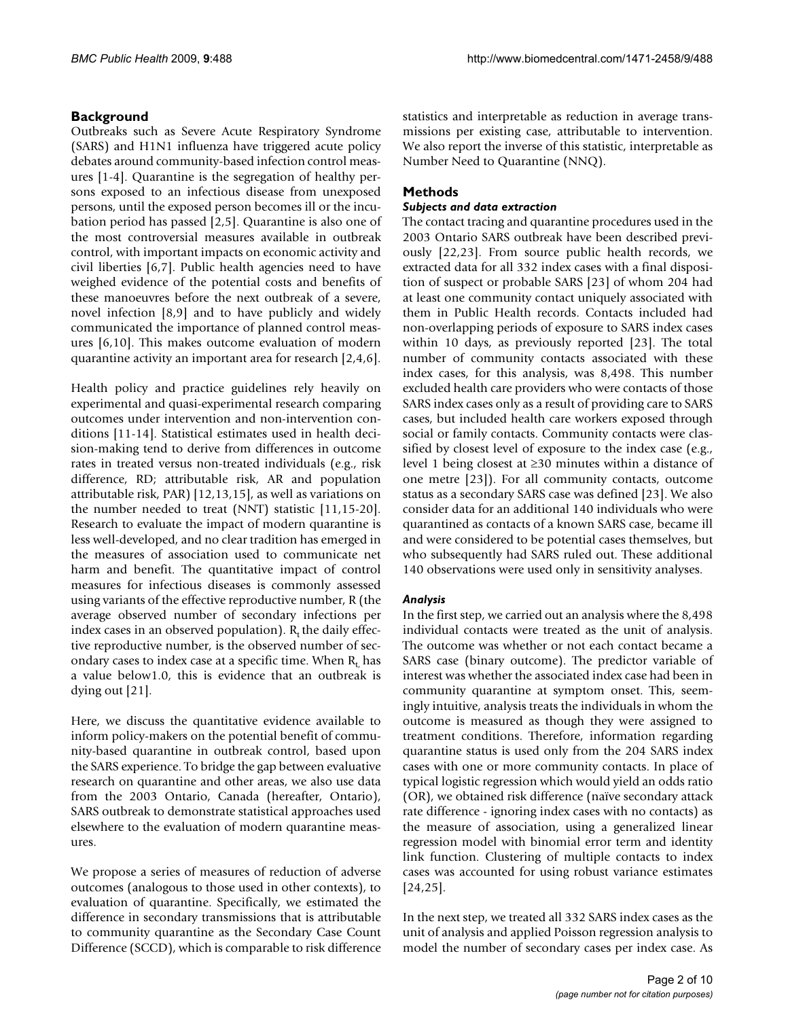## **Background**

Outbreaks such as Severe Acute Respiratory Syndrome (SARS) and H1N1 influenza have triggered acute policy debates around community-based infection control measures [1-4]. Quarantine is the segregation of healthy persons exposed to an infectious disease from unexposed persons, until the exposed person becomes ill or the incubation period has passed [2,5]. Quarantine is also one of the most controversial measures available in outbreak control, with important impacts on economic activity and civil liberties [6,7]. Public health agencies need to have weighed evidence of the potential costs and benefits of these manoeuvres before the next outbreak of a severe, novel infection [8,9] and to have publicly and widely communicated the importance of planned control measures [6,10]. This makes outcome evaluation of modern quarantine activity an important area for research [2,4,6].

Health policy and practice guidelines rely heavily on experimental and quasi-experimental research comparing outcomes under intervention and non-intervention conditions [11-14]. Statistical estimates used in health decision-making tend to derive from differences in outcome rates in treated versus non-treated individuals (e.g., risk difference, RD; attributable risk, AR and population attributable risk, PAR) [12,13,15], as well as variations on the number needed to treat (NNT) statistic [11,15-20]. Research to evaluate the impact of modern quarantine is less well-developed, and no clear tradition has emerged in the measures of association used to communicate net harm and benefit. The quantitative impact of control measures for infectious diseases is commonly assessed using variants of the effective reproductive number, R (the average observed number of secondary infections per index cases in an observed population).  $R_t$  the daily effective reproductive number, is the observed number of secondary cases to index case at a specific time. When  $R_t$  has a value below1.0, this is evidence that an outbreak is dying out [21].

Here, we discuss the quantitative evidence available to inform policy-makers on the potential benefit of community-based quarantine in outbreak control, based upon the SARS experience. To bridge the gap between evaluative research on quarantine and other areas, we also use data from the 2003 Ontario, Canada (hereafter, Ontario), SARS outbreak to demonstrate statistical approaches used elsewhere to the evaluation of modern quarantine measures.

We propose a series of measures of reduction of adverse outcomes (analogous to those used in other contexts), to evaluation of quarantine. Specifically, we estimated the difference in secondary transmissions that is attributable to community quarantine as the Secondary Case Count Difference (SCCD), which is comparable to risk difference

statistics and interpretable as reduction in average transmissions per existing case, attributable to intervention. We also report the inverse of this statistic, interpretable as Number Need to Quarantine (NNQ).

## **Methods**

## *Subjects and data extraction*

The contact tracing and quarantine procedures used in the 2003 Ontario SARS outbreak have been described previously [22,23]. From source public health records, we extracted data for all 332 index cases with a final disposition of suspect or probable SARS [23] of whom 204 had at least one community contact uniquely associated with them in Public Health records. Contacts included had non-overlapping periods of exposure to SARS index cases within 10 days, as previously reported [23]. The total number of community contacts associated with these index cases, for this analysis, was 8,498. This number excluded health care providers who were contacts of those SARS index cases only as a result of providing care to SARS cases, but included health care workers exposed through social or family contacts. Community contacts were classified by closest level of exposure to the index case (e.g., level 1 being closest at ≥30 minutes within a distance of one metre [23]). For all community contacts, outcome status as a secondary SARS case was defined [23]. We also consider data for an additional 140 individuals who were quarantined as contacts of a known SARS case, became ill and were considered to be potential cases themselves, but who subsequently had SARS ruled out. These additional 140 observations were used only in sensitivity analyses.

## *Analysis*

In the first step, we carried out an analysis where the 8,498 individual contacts were treated as the unit of analysis. The outcome was whether or not each contact became a SARS case (binary outcome). The predictor variable of interest was whether the associated index case had been in community quarantine at symptom onset. This, seemingly intuitive, analysis treats the individuals in whom the outcome is measured as though they were assigned to treatment conditions. Therefore, information regarding quarantine status is used only from the 204 SARS index cases with one or more community contacts. In place of typical logistic regression which would yield an odds ratio (OR), we obtained risk difference (naïve secondary attack rate difference - ignoring index cases with no contacts) as the measure of association, using a generalized linear regression model with binomial error term and identity link function. Clustering of multiple contacts to index cases was accounted for using robust variance estimates [24,25].

In the next step, we treated all 332 SARS index cases as the unit of analysis and applied Poisson regression analysis to model the number of secondary cases per index case. As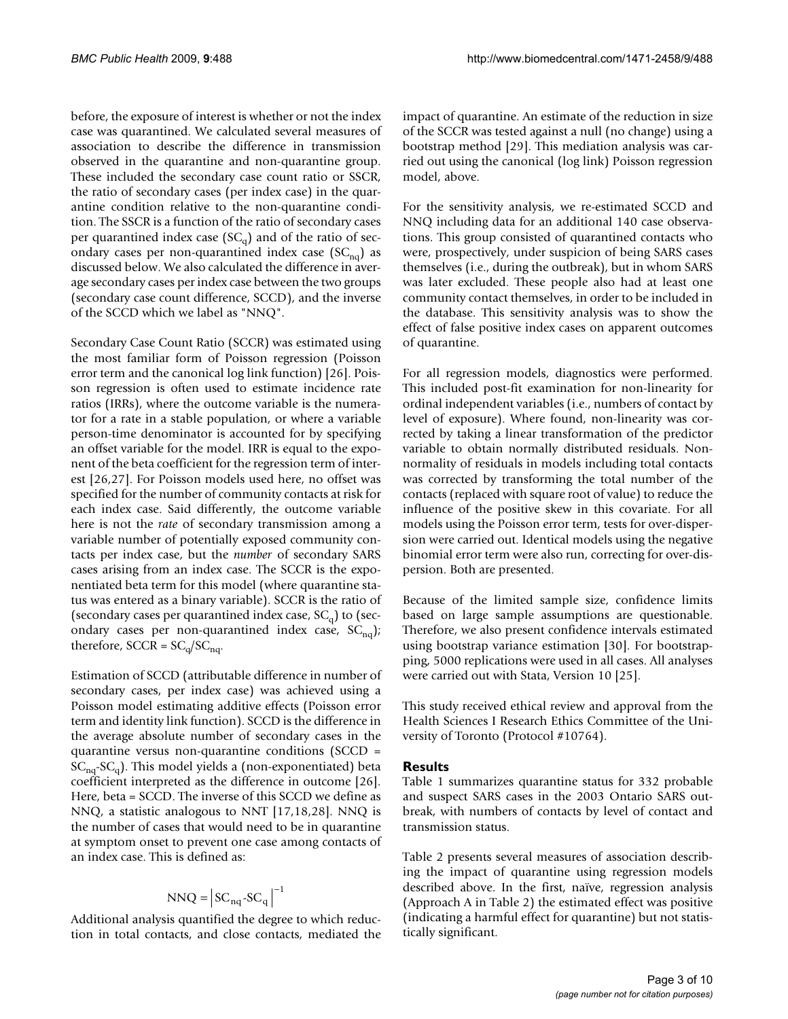before, the exposure of interest is whether or not the index case was quarantined. We calculated several measures of association to describe the difference in transmission observed in the quarantine and non-quarantine group. These included the secondary case count ratio or SSCR, the ratio of secondary cases (per index case) in the quarantine condition relative to the non-quarantine condition. The SSCR is a function of the ratio of secondary cases per quarantined index case  $(SC_q)$  and of the ratio of secondary cases per non-quarantined index case  $(SC_{na})$  as discussed below. We also calculated the difference in average secondary cases per index case between the two groups (secondary case count difference, SCCD), and the inverse of the SCCD which we label as "NNQ".

Secondary Case Count Ratio (SCCR) was estimated using the most familiar form of Poisson regression (Poisson error term and the canonical log link function) [26]. Poisson regression is often used to estimate incidence rate ratios (IRRs), where the outcome variable is the numerator for a rate in a stable population, or where a variable person-time denominator is accounted for by specifying an offset variable for the model. IRR is equal to the exponent of the beta coefficient for the regression term of interest [26,27]. For Poisson models used here, no offset was specified for the number of community contacts at risk for each index case. Said differently, the outcome variable here is not the *rate* of secondary transmission among a variable number of potentially exposed community contacts per index case, but the *number* of secondary SARS cases arising from an index case. The SCCR is the exponentiated beta term for this model (where quarantine status was entered as a binary variable). SCCR is the ratio of (secondary cases per quarantined index case,  $SC<sub>a</sub>$ ) to (secondary cases per non-quarantined index case,  $SC_{nq}$ ); therefore,  $SCCR = SC_q/SC_{nq}$ .

Estimation of SCCD (attributable difference in number of secondary cases, per index case) was achieved using a Poisson model estimating additive effects (Poisson error term and identity link function). SCCD is the difference in the average absolute number of secondary cases in the quarantine versus non-quarantine conditions (SCCD =  $SC_{nq}$ - $SC_{q}$ ). This model yields a (non-exponentiated) beta coefficient interpreted as the difference in outcome [26]. Here, beta = SCCD. The inverse of this SCCD we define as NNQ, a statistic analogous to NNT [17,18,28]. NNQ is the number of cases that would need to be in quarantine at symptom onset to prevent one case among contacts of an index case. This is defined as:

$$
NNQ = \left| SC_{nq} - SC_q \right|^{-1}
$$

Additional analysis quantified the degree to which reduction in total contacts, and close contacts, mediated the impact of quarantine. An estimate of the reduction in size of the SCCR was tested against a null (no change) using a bootstrap method [29]. This mediation analysis was carried out using the canonical (log link) Poisson regression model, above.

For the sensitivity analysis, we re-estimated SCCD and NNQ including data for an additional 140 case observations. This group consisted of quarantined contacts who were, prospectively, under suspicion of being SARS cases themselves (i.e., during the outbreak), but in whom SARS was later excluded. These people also had at least one community contact themselves, in order to be included in the database. This sensitivity analysis was to show the effect of false positive index cases on apparent outcomes of quarantine.

For all regression models, diagnostics were performed. This included post-fit examination for non-linearity for ordinal independent variables (i.e., numbers of contact by level of exposure). Where found, non-linearity was corrected by taking a linear transformation of the predictor variable to obtain normally distributed residuals. Nonnormality of residuals in models including total contacts was corrected by transforming the total number of the contacts (replaced with square root of value) to reduce the influence of the positive skew in this covariate. For all models using the Poisson error term, tests for over-dispersion were carried out. Identical models using the negative binomial error term were also run, correcting for over-dispersion. Both are presented.

Because of the limited sample size, confidence limits based on large sample assumptions are questionable. Therefore, we also present confidence intervals estimated using bootstrap variance estimation [30]. For bootstrapping, 5000 replications were used in all cases. All analyses were carried out with Stata, Version 10 [25].

This study received ethical review and approval from the Health Sciences I Research Ethics Committee of the University of Toronto (Protocol #10764).

#### **Results**

Table 1 summarizes quarantine status for 332 probable and suspect SARS cases in the 2003 Ontario SARS outbreak, with numbers of contacts by level of contact and transmission status.

Table 2 presents several measures of association describing the impact of quarantine using regression models described above. In the first, naïve, regression analysis (Approach A in Table 2) the estimated effect was positive (indicating a harmful effect for quarantine) but not statistically significant.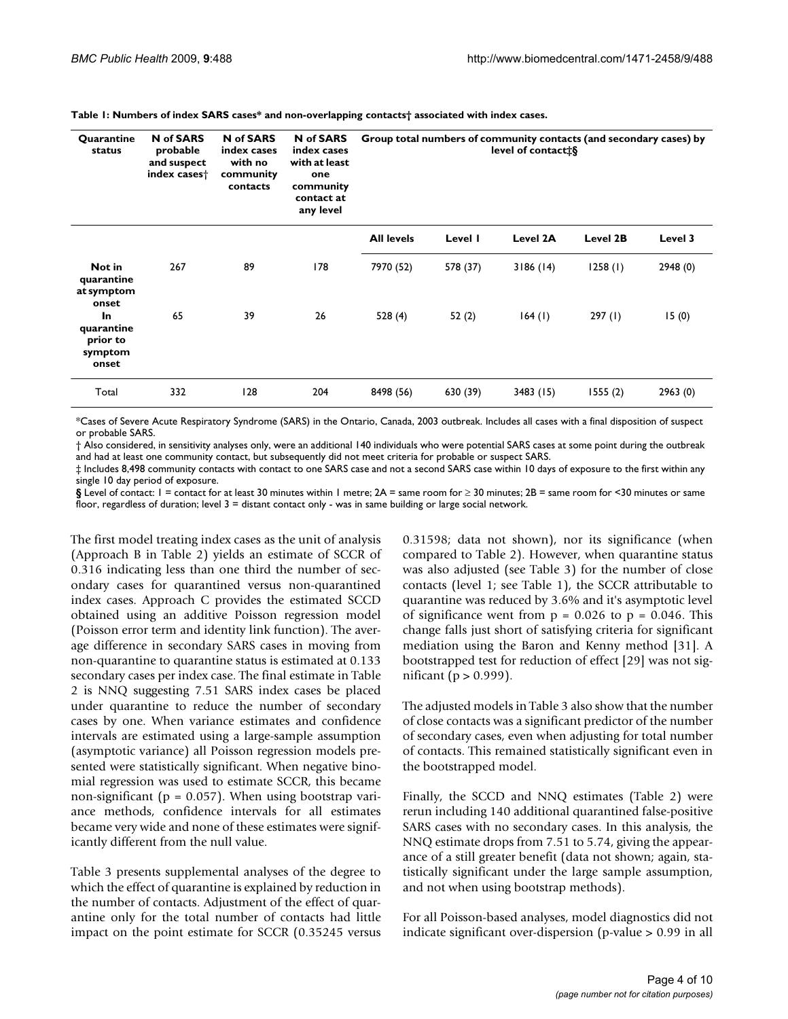| Quarantine<br>status                             | N of SARS<br>probable<br>and suspect<br>index cases <sup>+</sup> | N of SARS<br>index cases<br>with no<br>community<br>contacts | N of SARS<br>index cases<br>with at least<br>one<br>community<br>contact at<br>any level | Group total numbers of community contacts (and secondary cases) by<br>level of contact <sup>t</sup> § |          |          |          |          |
|--------------------------------------------------|------------------------------------------------------------------|--------------------------------------------------------------|------------------------------------------------------------------------------------------|-------------------------------------------------------------------------------------------------------|----------|----------|----------|----------|
|                                                  |                                                                  |                                                              |                                                                                          | <b>All levels</b>                                                                                     | Level I  | Level 2A | Level 2B | Level 3  |
| Not in<br>quarantine<br>at symptom<br>onset      | 267                                                              | 89                                                           | 178                                                                                      | 7970 (52)                                                                                             | 578 (37) | 3186(14) | 1258(1)  | 2948 (0) |
| In<br>quarantine<br>prior to<br>symptom<br>onset | 65                                                               | 39                                                           | 26                                                                                       | 528(4)                                                                                                | 52(2)    | 164 (1)  | 297(1)   | 15(0)    |
| Total                                            | 332                                                              | 128                                                          | 204                                                                                      | 8498 (56)                                                                                             | 630 (39) | 3483(15) | 1555(2)  | 2963(0)  |

**Table 1: Numbers of index SARS cases\* and non-overlapping contacts† associated with index cases.**

\*Cases of Severe Acute Respiratory Syndrome (SARS) in the Ontario, Canada, 2003 outbreak. Includes all cases with a final disposition of suspect or probable SARS.

† Also considered, in sensitivity analyses only, were an additional 140 individuals who were potential SARS cases at some point during the outbreak and had at least one community contact, but subsequently did not meet criteria for probable or suspect SARS.

‡ Includes 8,498 community contacts with contact to one SARS case and not a second SARS case within 10 days of exposure to the first within any single 10 day period of exposure.

**§** Level of contact: 1 = contact for at least 30 minutes within 1 metre; 2A = same room for ≥ 30 minutes; 2B = same room for <30 minutes or same floor, regardless of duration; level 3 = distant contact only - was in same building or large social network.

The first model treating index cases as the unit of analysis (Approach B in Table 2) yields an estimate of SCCR of 0.316 indicating less than one third the number of secondary cases for quarantined versus non-quarantined index cases. Approach C provides the estimated SCCD obtained using an additive Poisson regression model (Poisson error term and identity link function). The average difference in secondary SARS cases in moving from non-quarantine to quarantine status is estimated at 0.133 secondary cases per index case. The final estimate in Table 2 is NNQ suggesting 7.51 SARS index cases be placed under quarantine to reduce the number of secondary cases by one. When variance estimates and confidence intervals are estimated using a large-sample assumption (asymptotic variance) all Poisson regression models presented were statistically significant. When negative binomial regression was used to estimate SCCR, this became non-significant ( $p = 0.057$ ). When using bootstrap variance methods, confidence intervals for all estimates became very wide and none of these estimates were significantly different from the null value.

Table 3 presents supplemental analyses of the degree to which the effect of quarantine is explained by reduction in the number of contacts. Adjustment of the effect of quarantine only for the total number of contacts had little impact on the point estimate for SCCR (0.35245 versus 0.31598; data not shown), nor its significance (when compared to Table 2). However, when quarantine status was also adjusted (see Table 3) for the number of close contacts (level 1; see Table 1), the SCCR attributable to quarantine was reduced by 3.6% and it's asymptotic level of significance went from  $p = 0.026$  to  $p = 0.046$ . This change falls just short of satisfying criteria for significant mediation using the Baron and Kenny method [31]. A bootstrapped test for reduction of effect [29] was not significant ( $p > 0.999$ ).

The adjusted models in Table 3 also show that the number of close contacts was a significant predictor of the number of secondary cases, even when adjusting for total number of contacts. This remained statistically significant even in the bootstrapped model.

Finally, the SCCD and NNQ estimates (Table 2) were rerun including 140 additional quarantined false-positive SARS cases with no secondary cases. In this analysis, the NNQ estimate drops from 7.51 to 5.74, giving the appearance of a still greater benefit (data not shown; again, statistically significant under the large sample assumption, and not when using bootstrap methods).

For all Poisson-based analyses, model diagnostics did not indicate significant over-dispersion (p-value > 0.99 in all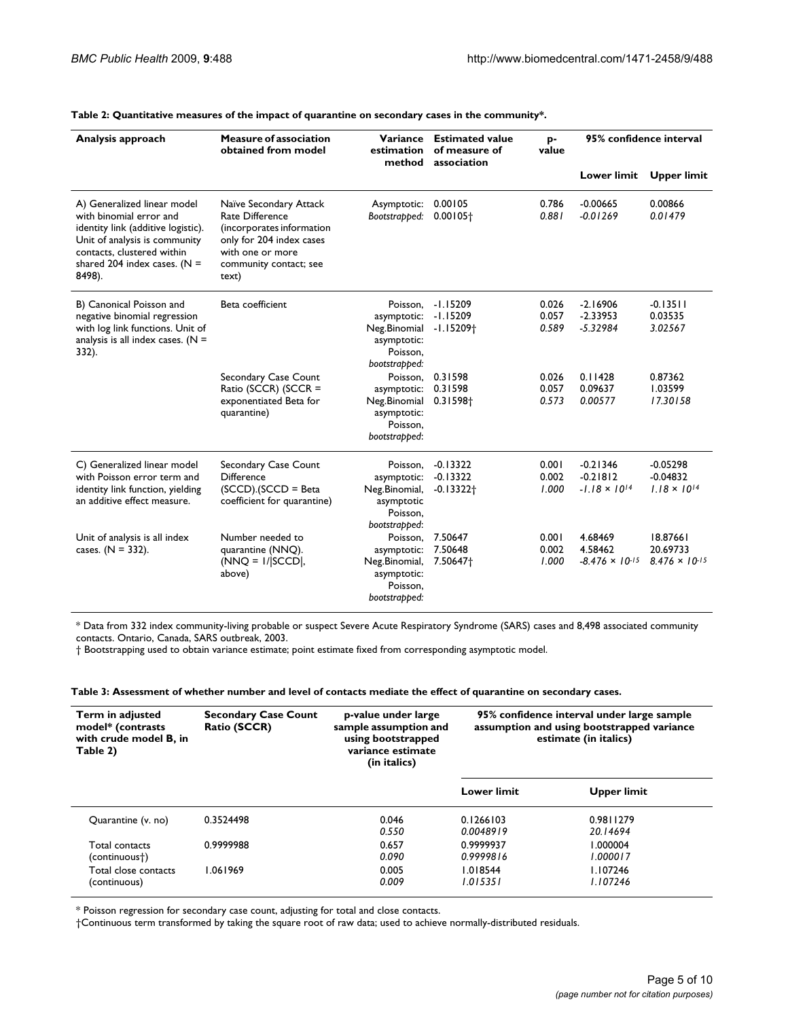| Analysis approach                                                                                                                                                                                        | Measure of association<br>obtained from model                                                                                                             | Variance<br>estimation<br>method                                                     | <b>Estimated value</b><br>of measure of<br>association | p-<br>value             | 95% confidence interval                            |                                                   |
|----------------------------------------------------------------------------------------------------------------------------------------------------------------------------------------------------------|-----------------------------------------------------------------------------------------------------------------------------------------------------------|--------------------------------------------------------------------------------------|--------------------------------------------------------|-------------------------|----------------------------------------------------|---------------------------------------------------|
|                                                                                                                                                                                                          |                                                                                                                                                           |                                                                                      |                                                        |                         | Lower limit                                        | <b>Upper limit</b>                                |
| A) Generalized linear model<br>with binomial error and<br>identity link (additive logistic).<br>Unit of analysis is community<br>contacts, clustered within<br>shared 204 index cases. ( $N =$<br>8498). | Naïve Secondary Attack<br>Rate Difference<br>(incorporates information<br>only for 204 index cases<br>with one or more<br>community contact; see<br>text) | Asymptotic:<br>Bootstrapped:                                                         | 0.00105<br>$0.00105 +$                                 | 0.786<br>0.881          | $-0.00665$<br>$-0.01269$                           | 0.00866<br>0.01479                                |
| B) Canonical Poisson and<br>negative binomial regression<br>with log link functions. Unit of<br>analysis is all index cases. $(N =$<br>332).                                                             | Beta coefficient                                                                                                                                          | Poisson.<br>asymptotic:<br>Neg.Binomial<br>asymptotic:<br>Poisson,<br>bootstrapped:  | $-1.15209$<br>$-1.15209$<br>$-1.152091$                | 0.026<br>0.057<br>0.589 | $-2.16906$<br>$-2.33953$<br>$-5.32984$             | $-0.13511$<br>0.03535<br>3.02567                  |
|                                                                                                                                                                                                          | Secondary Case Count<br>Ratio (SCCR) (SCCR =<br>exponentiated Beta for<br>quarantine)                                                                     | Poisson.<br>asymptotic:<br>Neg.Binomial<br>asymptotic:<br>Poisson,<br>bootstrapped:  | 0.31598<br>0.31598<br>$0.31598 +$                      | 0.026<br>0.057<br>0.573 | 0.11428<br>0.09637<br>0.00577                      | 0.87362<br>1.03599<br>17.30158                    |
| C) Generalized linear model<br>with Poisson error term and<br>identity link function, yielding<br>an additive effect measure.                                                                            | Secondary Case Count<br>Difference<br>$(SCCD)$ . $(SCCD = Beta)$<br>coefficient for quarantine)                                                           | Poisson.<br>asymptotic:<br>Neg.Binomial,<br>asymptotic<br>Poisson,<br>bootstrapped:  | $-0.13322$<br>$-0.13322$<br>$-0.13322 +$               | 0.001<br>0.002<br>1.000 | $-0.21346$<br>$-0.21812$<br>$-1.18 \times 10^{14}$ | $-0.05298$<br>$-0.04832$<br>$1.18 \times 10^{14}$ |
| Unit of analysis is all index<br>cases. $(N = 332)$ .                                                                                                                                                    | Number needed to<br>quarantine (NNQ).<br>$(NNQ = 1/ SCCD ,$<br>above)                                                                                     | Poisson.<br>asymptotic:<br>Neg.Binomial,<br>asymptotic:<br>Poisson.<br>bootstrapped: | 7.50647<br>7.50648<br>7.50647+                         | 0.001<br>0.002<br>1.000 | 4.68469<br>4.58462<br>$-8.476 \times 10^{-15}$     | 18.87661<br>20.69733<br>$8.476 \times 10^{-15}$   |

#### **Table 2: Quantitative measures of the impact of quarantine on secondary cases in the community\*.**

\* Data from 332 index community-living probable or suspect Severe Acute Respiratory Syndrome (SARS) cases and 8,498 associated community contacts. Ontario, Canada, SARS outbreak, 2003.

† Bootstrapping used to obtain variance estimate; point estimate fixed from corresponding asymptotic model.

#### **Table 3: Assessment of whether number and level of contacts mediate the effect of quarantine on secondary cases.**

| Term in adjusted<br>model* (contrasts<br>with crude model B, in<br>Table 2) | <b>Secondary Case Count</b><br>Ratio (SCCR) | p-value under large<br>sample assumption and<br>using bootstrapped<br>variance estimate<br>(in italics) | 95% confidence interval under large sample<br>assumption and using bootstrapped variance<br>estimate (in italics) |                       |  |
|-----------------------------------------------------------------------------|---------------------------------------------|---------------------------------------------------------------------------------------------------------|-------------------------------------------------------------------------------------------------------------------|-----------------------|--|
|                                                                             |                                             |                                                                                                         | Lower limit                                                                                                       | <b>Upper limit</b>    |  |
| Quarantine (v. no)                                                          | 0.3524498                                   | 0.046<br>0.550                                                                                          | 0.1266103<br>0.0048919                                                                                            | 0.9811279<br>20.14694 |  |
| Total contacts<br>(continuous†)                                             | 0.9999988                                   | 0.657<br>0.090                                                                                          | 0.9999937<br>0.9999816                                                                                            | 1.000004<br>1.000017  |  |
| Total close contacts<br>(continuous)                                        | 1.061969                                    | 0.005<br>0.009                                                                                          | 1.018544<br>1.015351                                                                                              | I.107246<br>1.107246  |  |

\* Poisson regression for secondary case count, adjusting for total and close contacts.

†Continuous term transformed by taking the square root of raw data; used to achieve normally-distributed residuals.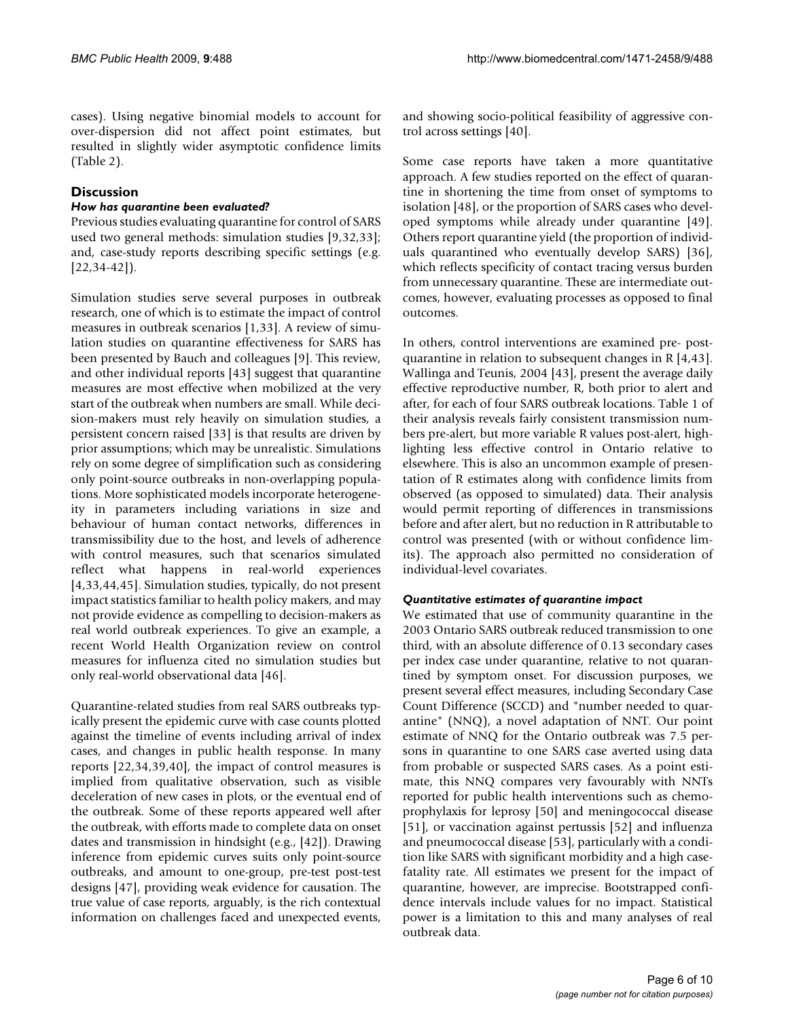cases). Using negative binomial models to account for over-dispersion did not affect point estimates, but resulted in slightly wider asymptotic confidence limits (Table 2).

## **Discussion**

#### *How has quarantine been evaluated?*

Previous studies evaluating quarantine for control of SARS used two general methods: simulation studies [9,32,33]; and, case-study reports describing specific settings (e.g. [22,34-42]).

Simulation studies serve several purposes in outbreak research, one of which is to estimate the impact of control measures in outbreak scenarios [1,33]. A review of simulation studies on quarantine effectiveness for SARS has been presented by Bauch and colleagues [9]. This review, and other individual reports [43] suggest that quarantine measures are most effective when mobilized at the very start of the outbreak when numbers are small. While decision-makers must rely heavily on simulation studies, a persistent concern raised [33] is that results are driven by prior assumptions; which may be unrealistic. Simulations rely on some degree of simplification such as considering only point-source outbreaks in non-overlapping populations. More sophisticated models incorporate heterogeneity in parameters including variations in size and behaviour of human contact networks, differences in transmissibility due to the host, and levels of adherence with control measures, such that scenarios simulated reflect what happens in real-world experiences [4,33,44,45]. Simulation studies, typically, do not present impact statistics familiar to health policy makers, and may not provide evidence as compelling to decision-makers as real world outbreak experiences. To give an example, a recent World Health Organization review on control measures for influenza cited no simulation studies but only real-world observational data [46].

Quarantine-related studies from real SARS outbreaks typically present the epidemic curve with case counts plotted against the timeline of events including arrival of index cases, and changes in public health response. In many reports [22,34,39,40], the impact of control measures is implied from qualitative observation, such as visible deceleration of new cases in plots, or the eventual end of the outbreak. Some of these reports appeared well after the outbreak, with efforts made to complete data on onset dates and transmission in hindsight (e.g., [42]). Drawing inference from epidemic curves suits only point-source outbreaks, and amount to one-group, pre-test post-test designs [47], providing weak evidence for causation. The true value of case reports, arguably, is the rich contextual information on challenges faced and unexpected events,

and showing socio-political feasibility of aggressive control across settings [40].

Some case reports have taken a more quantitative approach. A few studies reported on the effect of quarantine in shortening the time from onset of symptoms to isolation [48], or the proportion of SARS cases who developed symptoms while already under quarantine [49]. Others report quarantine yield (the proportion of individuals quarantined who eventually develop SARS) [36], which reflects specificity of contact tracing versus burden from unnecessary quarantine. These are intermediate outcomes, however, evaluating processes as opposed to final outcomes.

In others, control interventions are examined pre- postquarantine in relation to subsequent changes in R [4,43]. Wallinga and Teunis, 2004 [43], present the average daily effective reproductive number, R, both prior to alert and after, for each of four SARS outbreak locations. Table 1 of their analysis reveals fairly consistent transmission numbers pre-alert, but more variable R values post-alert, highlighting less effective control in Ontario relative to elsewhere. This is also an uncommon example of presentation of R estimates along with confidence limits from observed (as opposed to simulated) data. Their analysis would permit reporting of differences in transmissions before and after alert, but no reduction in R attributable to control was presented (with or without confidence limits). The approach also permitted no consideration of individual-level covariates.

#### *Quantitative estimates of quarantine impact*

We estimated that use of community quarantine in the 2003 Ontario SARS outbreak reduced transmission to one third, with an absolute difference of 0.13 secondary cases per index case under quarantine, relative to not quarantined by symptom onset. For discussion purposes, we present several effect measures, including Secondary Case Count Difference (SCCD) and "number needed to quarantine" (NNQ), a novel adaptation of NNT. Our point estimate of NNQ for the Ontario outbreak was 7.5 persons in quarantine to one SARS case averted using data from probable or suspected SARS cases. As a point estimate, this NNQ compares very favourably with NNTs reported for public health interventions such as chemoprophylaxis for leprosy [50] and meningococcal disease [51], or vaccination against pertussis [52] and influenza and pneumococcal disease [53], particularly with a condition like SARS with significant morbidity and a high casefatality rate. All estimates we present for the impact of quarantine, however, are imprecise. Bootstrapped confidence intervals include values for no impact. Statistical power is a limitation to this and many analyses of real outbreak data.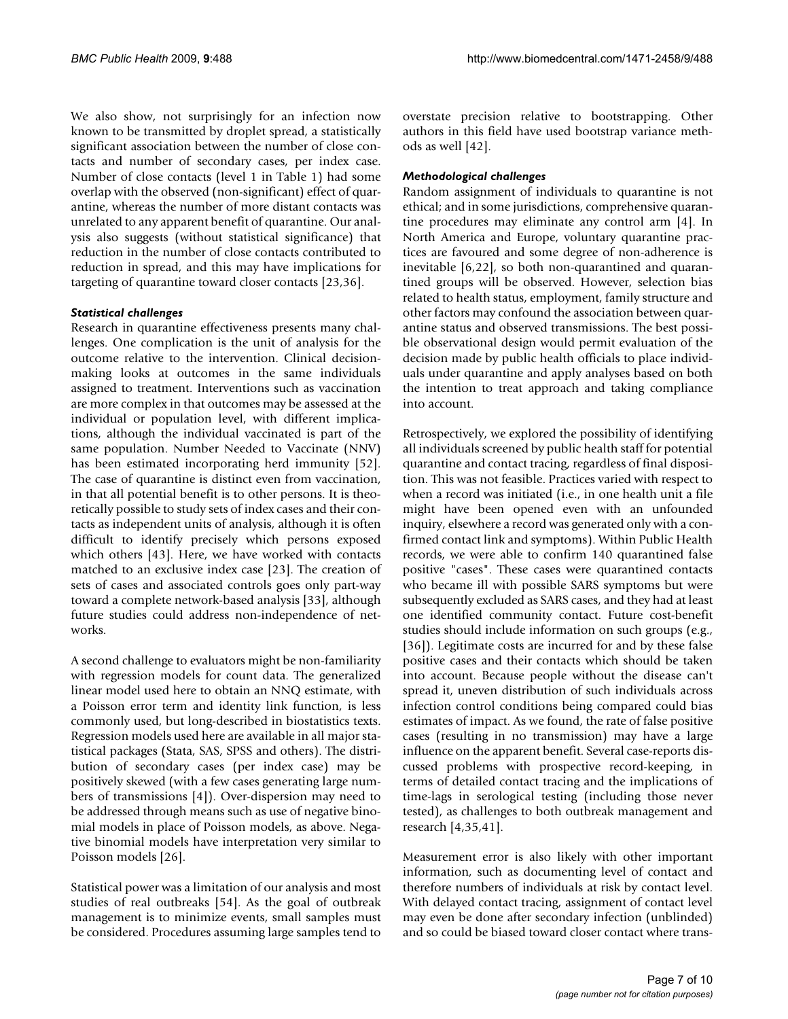We also show, not surprisingly for an infection now known to be transmitted by droplet spread, a statistically significant association between the number of close contacts and number of secondary cases, per index case. Number of close contacts (level 1 in Table 1) had some overlap with the observed (non-significant) effect of quarantine, whereas the number of more distant contacts was unrelated to any apparent benefit of quarantine. Our analysis also suggests (without statistical significance) that reduction in the number of close contacts contributed to reduction in spread, and this may have implications for targeting of quarantine toward closer contacts [23,36].

#### *Statistical challenges*

Research in quarantine effectiveness presents many challenges. One complication is the unit of analysis for the outcome relative to the intervention. Clinical decisionmaking looks at outcomes in the same individuals assigned to treatment. Interventions such as vaccination are more complex in that outcomes may be assessed at the individual or population level, with different implications, although the individual vaccinated is part of the same population. Number Needed to Vaccinate (NNV) has been estimated incorporating herd immunity [52]. The case of quarantine is distinct even from vaccination, in that all potential benefit is to other persons. It is theoretically possible to study sets of index cases and their contacts as independent units of analysis, although it is often difficult to identify precisely which persons exposed which others [43]. Here, we have worked with contacts matched to an exclusive index case [23]. The creation of sets of cases and associated controls goes only part-way toward a complete network-based analysis [33], although future studies could address non-independence of networks.

A second challenge to evaluators might be non-familiarity with regression models for count data. The generalized linear model used here to obtain an NNQ estimate, with a Poisson error term and identity link function, is less commonly used, but long-described in biostatistics texts. Regression models used here are available in all major statistical packages (Stata, SAS, SPSS and others). The distribution of secondary cases (per index case) may be positively skewed (with a few cases generating large numbers of transmissions [4]). Over-dispersion may need to be addressed through means such as use of negative binomial models in place of Poisson models, as above. Negative binomial models have interpretation very similar to Poisson models [26].

Statistical power was a limitation of our analysis and most studies of real outbreaks [54]. As the goal of outbreak management is to minimize events, small samples must be considered. Procedures assuming large samples tend to

overstate precision relative to bootstrapping. Other authors in this field have used bootstrap variance methods as well [42].

## *Methodological challenges*

Random assignment of individuals to quarantine is not ethical; and in some jurisdictions, comprehensive quarantine procedures may eliminate any control arm [4]. In North America and Europe, voluntary quarantine practices are favoured and some degree of non-adherence is inevitable [6,22], so both non-quarantined and quarantined groups will be observed. However, selection bias related to health status, employment, family structure and other factors may confound the association between quarantine status and observed transmissions. The best possible observational design would permit evaluation of the decision made by public health officials to place individuals under quarantine and apply analyses based on both the intention to treat approach and taking compliance into account.

Retrospectively, we explored the possibility of identifying all individuals screened by public health staff for potential quarantine and contact tracing, regardless of final disposition. This was not feasible. Practices varied with respect to when a record was initiated (i.e., in one health unit a file might have been opened even with an unfounded inquiry, elsewhere a record was generated only with a confirmed contact link and symptoms). Within Public Health records, we were able to confirm 140 quarantined false positive "cases". These cases were quarantined contacts who became ill with possible SARS symptoms but were subsequently excluded as SARS cases, and they had at least one identified community contact. Future cost-benefit studies should include information on such groups (e.g., [36]). Legitimate costs are incurred for and by these false positive cases and their contacts which should be taken into account. Because people without the disease can't spread it, uneven distribution of such individuals across infection control conditions being compared could bias estimates of impact. As we found, the rate of false positive cases (resulting in no transmission) may have a large influence on the apparent benefit. Several case-reports discussed problems with prospective record-keeping, in terms of detailed contact tracing and the implications of time-lags in serological testing (including those never tested), as challenges to both outbreak management and research [4,35,41].

Measurement error is also likely with other important information, such as documenting level of contact and therefore numbers of individuals at risk by contact level. With delayed contact tracing, assignment of contact level may even be done after secondary infection (unblinded) and so could be biased toward closer contact where trans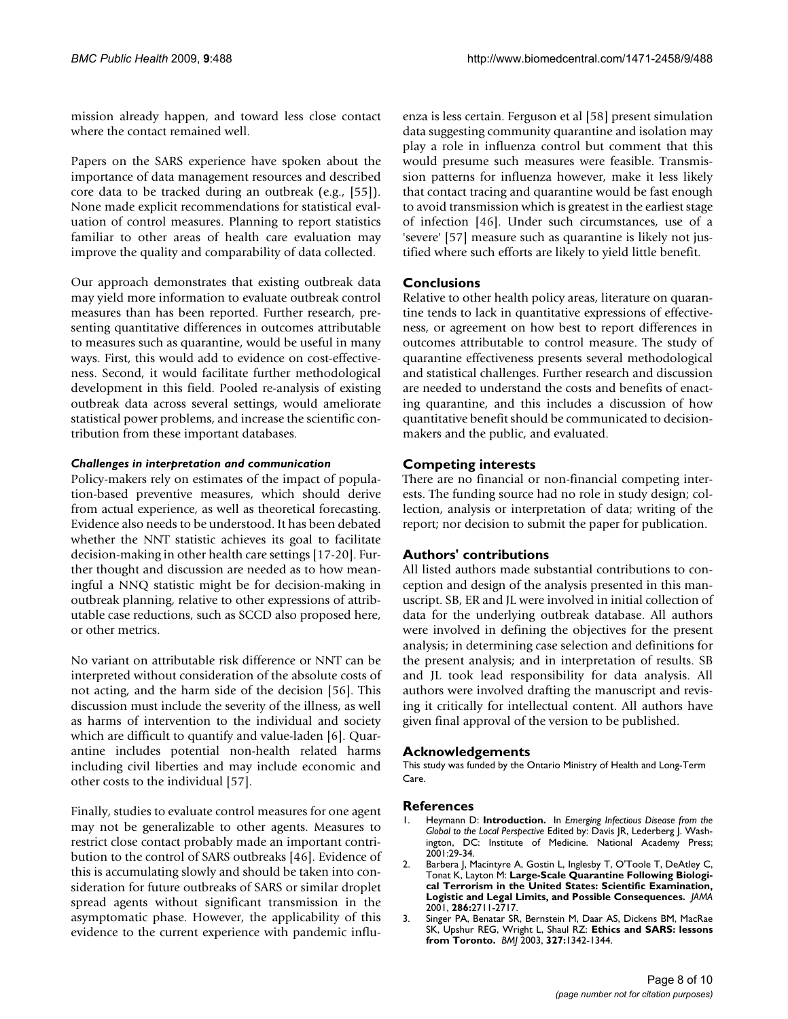mission already happen, and toward less close contact where the contact remained well.

Papers on the SARS experience have spoken about the importance of data management resources and described core data to be tracked during an outbreak (e.g., [55]). None made explicit recommendations for statistical evaluation of control measures. Planning to report statistics familiar to other areas of health care evaluation may improve the quality and comparability of data collected.

Our approach demonstrates that existing outbreak data may yield more information to evaluate outbreak control measures than has been reported. Further research, presenting quantitative differences in outcomes attributable to measures such as quarantine, would be useful in many ways. First, this would add to evidence on cost-effectiveness. Second, it would facilitate further methodological development in this field. Pooled re-analysis of existing outbreak data across several settings, would ameliorate statistical power problems, and increase the scientific contribution from these important databases.

#### *Challenges in interpretation and communication*

Policy-makers rely on estimates of the impact of population-based preventive measures, which should derive from actual experience, as well as theoretical forecasting. Evidence also needs to be understood. It has been debated whether the NNT statistic achieves its goal to facilitate decision-making in other health care settings [17-20]. Further thought and discussion are needed as to how meaningful a NNQ statistic might be for decision-making in outbreak planning, relative to other expressions of attributable case reductions, such as SCCD also proposed here, or other metrics.

No variant on attributable risk difference or NNT can be interpreted without consideration of the absolute costs of not acting, and the harm side of the decision [56]. This discussion must include the severity of the illness, as well as harms of intervention to the individual and society which are difficult to quantify and value-laden [6]. Quarantine includes potential non-health related harms including civil liberties and may include economic and other costs to the individual [57].

Finally, studies to evaluate control measures for one agent may not be generalizable to other agents. Measures to restrict close contact probably made an important contribution to the control of SARS outbreaks [46]. Evidence of this is accumulating slowly and should be taken into consideration for future outbreaks of SARS or similar droplet spread agents without significant transmission in the asymptomatic phase. However, the applicability of this evidence to the current experience with pandemic influenza is less certain. Ferguson et al [58] present simulation data suggesting community quarantine and isolation may play a role in influenza control but comment that this would presume such measures were feasible. Transmission patterns for influenza however, make it less likely that contact tracing and quarantine would be fast enough to avoid transmission which is greatest in the earliest stage of infection [46]. Under such circumstances, use of a 'severe' [57] measure such as quarantine is likely not justified where such efforts are likely to yield little benefit.

## **Conclusions**

Relative to other health policy areas, literature on quarantine tends to lack in quantitative expressions of effectiveness, or agreement on how best to report differences in outcomes attributable to control measure. The study of quarantine effectiveness presents several methodological and statistical challenges. Further research and discussion are needed to understand the costs and benefits of enacting quarantine, and this includes a discussion of how quantitative benefit should be communicated to decisionmakers and the public, and evaluated.

## **Competing interests**

There are no financial or non-financial competing interests. The funding source had no role in study design; collection, analysis or interpretation of data; writing of the report; nor decision to submit the paper for publication.

#### **Authors' contributions**

All listed authors made substantial contributions to conception and design of the analysis presented in this manuscript. SB, ER and JL were involved in initial collection of data for the underlying outbreak database. All authors were involved in defining the objectives for the present analysis; in determining case selection and definitions for the present analysis; and in interpretation of results. SB and JL took lead responsibility for data analysis. All authors were involved drafting the manuscript and revising it critically for intellectual content. All authors have given final approval of the version to be published.

#### **Acknowledgements**

This study was funded by the Ontario Ministry of Health and Long-Term Care.

#### **References**

- 1. Heymann D: **Introduction.** In *Emerging Infectious Disease from the Global to the Local Perspective* Edited by: Davis JR, Lederberg J. Washington, DC: Institute of Medicine. National Academy Press; 2001:29-34.
- 2. Barbera J, Macintyre A, Gostin L, Inglesby T, O'Toole T, DeAtley C, Tonat K, Layton M: **[Large-Scale Quarantine Following Biologi](http://www.ncbi.nlm.nih.gov/entrez/query.fcgi?cmd=Retrieve&db=PubMed&dopt=Abstract&list_uids=11730447)[cal Terrorism in the United States: Scientific Examination,](http://www.ncbi.nlm.nih.gov/entrez/query.fcgi?cmd=Retrieve&db=PubMed&dopt=Abstract&list_uids=11730447) [Logistic and Legal Limits, and Possible Consequences.](http://www.ncbi.nlm.nih.gov/entrez/query.fcgi?cmd=Retrieve&db=PubMed&dopt=Abstract&list_uids=11730447)** *JAMA* 2001, **286:**2711-2717.
- 3. Singer PA, Benatar SR, Bernstein M, Daar AS, Dickens BM, MacRae SK, Upshur REG, Wright L, Shaul RZ: **[Ethics and SARS: lessons](http://www.ncbi.nlm.nih.gov/entrez/query.fcgi?cmd=Retrieve&db=PubMed&dopt=Abstract&list_uids=14656848) [from Toronto.](http://www.ncbi.nlm.nih.gov/entrez/query.fcgi?cmd=Retrieve&db=PubMed&dopt=Abstract&list_uids=14656848)** *BMJ* 2003, **327:**1342-1344.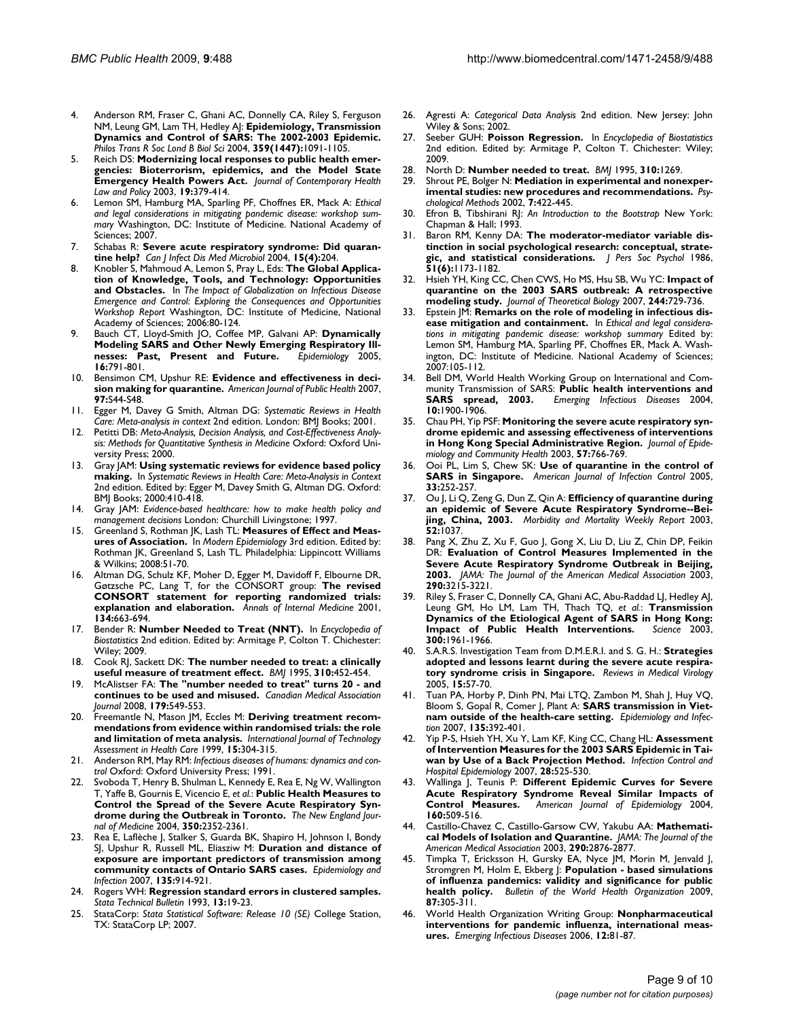- 4. Anderson RM, Fraser C, Ghani AC, Donnelly CA, Riley S, Ferguson NM, Leung GM, Lam TH, Hedley AJ: **[Epidemiology, Transmission](http://www.ncbi.nlm.nih.gov/entrez/query.fcgi?cmd=Retrieve&db=PubMed&dopt=Abstract&list_uids=15306395) [Dynamics and Control of SARS: The 2002-2003 Epidemic.](http://www.ncbi.nlm.nih.gov/entrez/query.fcgi?cmd=Retrieve&db=PubMed&dopt=Abstract&list_uids=15306395)** *Philos Trans R Soc Lond B Biol Sci* 2004, **359(1447):**1091-1105.
- 5. Reich DS: **[Modernizing local responses to public health emer](http://www.ncbi.nlm.nih.gov/entrez/query.fcgi?cmd=Retrieve&db=PubMed&dopt=Abstract&list_uids=14748251)[gencies: Bioterrorism, epidemics, and the Model State](http://www.ncbi.nlm.nih.gov/entrez/query.fcgi?cmd=Retrieve&db=PubMed&dopt=Abstract&list_uids=14748251) [Emergency Health Powers Act.](http://www.ncbi.nlm.nih.gov/entrez/query.fcgi?cmd=Retrieve&db=PubMed&dopt=Abstract&list_uids=14748251)** *Journal of Contemporary Health Law and Policy* 2003, **19:**379-414.
- 6. Lemon SM, Hamburg MA, Sparling PF, Choffnes ER, Mack A: *Ethical and legal considerations in mitigating pandemic disease: workshop summary* Washington, DC: Institute of Medicine. National Academy of Sciences; 2007.
- 7. Schabas R: **[Severe acute respiratory syndrome: Did quaran](http://www.ncbi.nlm.nih.gov/entrez/query.fcgi?cmd=Retrieve&db=PubMed&dopt=Abstract&list_uids=18159492)[tine help?](http://www.ncbi.nlm.nih.gov/entrez/query.fcgi?cmd=Retrieve&db=PubMed&dopt=Abstract&list_uids=18159492)** *Can J Infect Dis Med Microbiol* 2004, **15(4):**204.
- 8. Knobler S, Mahmoud A, Lemon S, Pray L, Eds: **The Global Application of Knowledge, Tools, and Technology: Opportunities and Obstacles.** In *The Impact of Globalization on Infectious Disease Emergence and Control: Exploring the Consequences and Opportunities Workshop Report* Washington, DC: Institute of Medicine, National Academy of Sciences; 2006:80-124.
- 9. Bauch CT, Lloyd-Smith JO, Coffee MP, Galvani AP: **[Dynamically](http://www.ncbi.nlm.nih.gov/entrez/query.fcgi?cmd=Retrieve&db=PubMed&dopt=Abstract&list_uids=16222170) Modeling SARS and Other Newly Emerging Respiratory III-<br>nesses: Past, Present and Future.** Epidemiology 2005, [nesses: Past, Present and Future.](http://www.ncbi.nlm.nih.gov/entrez/query.fcgi?cmd=Retrieve&db=PubMed&dopt=Abstract&list_uids=16222170) **16:**791-801.
- 10. Bensimon CM, Upshur RE: **[Evidence and effectiveness in deci](http://www.ncbi.nlm.nih.gov/entrez/query.fcgi?cmd=Retrieve&db=PubMed&dopt=Abstract&list_uids=17413076)[sion making for quarantine.](http://www.ncbi.nlm.nih.gov/entrez/query.fcgi?cmd=Retrieve&db=PubMed&dopt=Abstract&list_uids=17413076)** *American Journal of Public Health* 2007, **97:**S44-S48.
- 11. Egger M, Davey G Smith, Altman DG: *Systematic Reviews in Health Care: Meta-analysis in context* 2nd edition. London: BMJ Books; 2001.
- 12. Petitti DB: *Meta-Analysis, Decision Analysis, and Cost-Effectiveness Analysis: Methods for Quantitative Synthesis in Medicine* Oxford: Oxford University Press; 2000.
- 13. Gray JAM: **Using systematic reviews for evidence based policy making.** In *Systematic Reviews in Health Care: Meta-Analysis in Context* 2nd edition. Edited by: Egger M, Davey Smith G, Altman DG. Oxford: BMJ Books; 2000:410-418.
- 14. Gray JAM: *Evidence-based healthcare: how to make health policy and management decisions* London: Churchill Livingstone; 1997.
- 15. Greenland S, Rothman JK, Lash TL: **Measures of Effect and Measures of Association.** In *Modern Epidemiology* 3rd edition. Edited by: Rothman JK, Greenland S, Lash TL. Philadelphia: Lippincott Williams & Wilkins; 2008:51-70.
- 16. Altman DG, Schulz KF, Moher D, Egger M, Davidoff F, Elbourne DR, Gøtzsche PC, Lang T, for the CONSORT group: **[The revised](http://www.ncbi.nlm.nih.gov/entrez/query.fcgi?cmd=Retrieve&db=PubMed&dopt=Abstract&list_uids=11304107) [CONSORT statement for reporting randomized trials:](http://www.ncbi.nlm.nih.gov/entrez/query.fcgi?cmd=Retrieve&db=PubMed&dopt=Abstract&list_uids=11304107) [explanation and elaboration.](http://www.ncbi.nlm.nih.gov/entrez/query.fcgi?cmd=Retrieve&db=PubMed&dopt=Abstract&list_uids=11304107)** *Annals of Internal Medicine* 2001, **134:**663-694.
- 17. Bender R: **Number Needed to Treat (NNT).** In *Encyclopedia of Biostatistics* 2nd edition. Edited by: Armitage P, Colton T. Chichester: Wiley; 2009.
- 18. Cook RJ, Sackett DK: **[The number needed to treat: a clinically](http://www.ncbi.nlm.nih.gov/entrez/query.fcgi?cmd=Retrieve&db=PubMed&dopt=Abstract&list_uids=7873954) [useful measure of treatment effect.](http://www.ncbi.nlm.nih.gov/entrez/query.fcgi?cmd=Retrieve&db=PubMed&dopt=Abstract&list_uids=7873954)** *BMJ* 1995, **310:**452-454.
- 19. McAlistser FA: **[The "number needed to treat" turns 20 and](http://www.ncbi.nlm.nih.gov/entrez/query.fcgi?cmd=Retrieve&db=PubMed&dopt=Abstract&list_uids=18779528) [continues to be used and misused.](http://www.ncbi.nlm.nih.gov/entrez/query.fcgi?cmd=Retrieve&db=PubMed&dopt=Abstract&list_uids=18779528)** *Canadian Medical Association Journal* 2008, **179:**549-553.
- 20. Freemantle N, Mason JM, Eccles M: **[Deriving treatment recom](http://www.ncbi.nlm.nih.gov/entrez/query.fcgi?cmd=Retrieve&db=PubMed&dopt=Abstract&list_uids=10507190)[mendations from evidence within randomised trials: the role](http://www.ncbi.nlm.nih.gov/entrez/query.fcgi?cmd=Retrieve&db=PubMed&dopt=Abstract&list_uids=10507190) [and limitation of meta analysis.](http://www.ncbi.nlm.nih.gov/entrez/query.fcgi?cmd=Retrieve&db=PubMed&dopt=Abstract&list_uids=10507190)** *International Journal of Technology Assessment in Health Care* 1999, **15:**304-315.
- 21. Anderson RM, May RM: *Infectious diseases of humans: dynamics and control* Oxford: Oxford University Press; 1991.
- 22. Svoboda T, Henry B, Shulman L, Kennedy E, Rea E, Ng W, Wallington T, Yaffe B, Gournis E, Vicencio E, *et al.*: **[Public Health Measures to](http://www.ncbi.nlm.nih.gov/entrez/query.fcgi?cmd=Retrieve&db=PubMed&dopt=Abstract&list_uids=15175437) [Control the Spread of the Severe Acute Respiratory Syn](http://www.ncbi.nlm.nih.gov/entrez/query.fcgi?cmd=Retrieve&db=PubMed&dopt=Abstract&list_uids=15175437)[drome during the Outbreak in Toronto.](http://www.ncbi.nlm.nih.gov/entrez/query.fcgi?cmd=Retrieve&db=PubMed&dopt=Abstract&list_uids=15175437)** *The New England Journal of Medicine* 2004, **350:**2352-2361.
- 23. Rea E, Laflèche J, Stalker S, Guarda BK, Shapiro H, Johnson I, Bondy SJ, Upshur R, Russell ML, Eliasziw M: **[Duration and distance of](http://www.ncbi.nlm.nih.gov/entrez/query.fcgi?cmd=Retrieve&db=PubMed&dopt=Abstract&list_uids=17217552) [exposure are important predictors of transmission among](http://www.ncbi.nlm.nih.gov/entrez/query.fcgi?cmd=Retrieve&db=PubMed&dopt=Abstract&list_uids=17217552) [community contacts of Ontario SARS cases.](http://www.ncbi.nlm.nih.gov/entrez/query.fcgi?cmd=Retrieve&db=PubMed&dopt=Abstract&list_uids=17217552)** *Epidemiology and Infection* 2007, **135:**914-921.
- 24. Rogers WH: **Regression standard errors in clustered samples.** *Stata Technical Bulletin* 1993, **13:**19-23.
- 25. StataCorp: *Stata Statistical Software: Release 10 (SE)* College Station, TX: StataCorp LP; 2007.
- 26. Agresti A: *Categorical Data Analysis* 2nd edition. New Jersey: John Wiley & Sons; 2002.
- 27. Seeber GUH: **Poisson Regression.** In *Encyclopedia of Biostatistics* 2nd edition. Edited by: Armitage P, Colton T. Chichester: Wiley; 2009.
- 28. North D: **[Number needed to treat.](http://www.ncbi.nlm.nih.gov/entrez/query.fcgi?cmd=Retrieve&db=PubMed&dopt=Abstract&list_uids=7767217)** *BMJ* 1995, **310:**1269.
- 29. Shrout PE, Bolger N: **[Mediation in experimental and nonexper](http://www.ncbi.nlm.nih.gov/entrez/query.fcgi?cmd=Retrieve&db=PubMed&dopt=Abstract&list_uids=12530702)[imental studies: new procedures and recommendations.](http://www.ncbi.nlm.nih.gov/entrez/query.fcgi?cmd=Retrieve&db=PubMed&dopt=Abstract&list_uids=12530702)** *Psychological Methods* 2002, **7:**422-445.
- 30. Efron B, Tibshirani RJ: *An Introduction to the Bootstrap* New York: Chapman & Hall; 1993.
- 31. Baron RM, Kenny DA: **[The moderator-mediator variable dis](http://www.ncbi.nlm.nih.gov/entrez/query.fcgi?cmd=Retrieve&db=PubMed&dopt=Abstract&list_uids=3806354)[tinction in social psychological research: conceptual, strate](http://www.ncbi.nlm.nih.gov/entrez/query.fcgi?cmd=Retrieve&db=PubMed&dopt=Abstract&list_uids=3806354)[gic, and statistical considerations.](http://www.ncbi.nlm.nih.gov/entrez/query.fcgi?cmd=Retrieve&db=PubMed&dopt=Abstract&list_uids=3806354)** *J Pers Soc Psychol* 1986, **51(6):**1173-1182.
- 32. Hsieh YH, King CC, Chen CWS, Ho MS, Hsu SB, Wu YC: **[Impact of](http://www.ncbi.nlm.nih.gov/entrez/query.fcgi?cmd=Retrieve&db=PubMed&dopt=Abstract&list_uids=17055533) [quarantine on the 2003 SARS outbreak: A retrospective](http://www.ncbi.nlm.nih.gov/entrez/query.fcgi?cmd=Retrieve&db=PubMed&dopt=Abstract&list_uids=17055533) [modeling study.](http://www.ncbi.nlm.nih.gov/entrez/query.fcgi?cmd=Retrieve&db=PubMed&dopt=Abstract&list_uids=17055533)** *Journal of Theoretical Biology* 2007, **244:**729-736.
- 33. Epstein JM: **Remarks on the role of modeling in infectious disease mitigation and containment.** In *Ethical and legal considerations in mitigating pandemic disease: workshop summary* Edited by: Lemon SM, Hamburg MA, Sparling PF, Choffnes ER, Mack A. Washington, DC: Institute of Medicine. National Academy of Sciences; 2007:105-112.
- Bell DM, World Health Working Group on International and Community Transmission of SARS: **[Public health interventions and](http://www.ncbi.nlm.nih.gov/entrez/query.fcgi?cmd=Retrieve&db=PubMed&dopt=Abstract&list_uids=15550198) [SARS spread, 2003.](http://www.ncbi.nlm.nih.gov/entrez/query.fcgi?cmd=Retrieve&db=PubMed&dopt=Abstract&list_uids=15550198)** *Emerging Infectious Diseases* 2004, **10:**1900-1906.
- 35. Chau PH, Yip PSF: **[Monitoring the severe acute respiratory syn](http://www.ncbi.nlm.nih.gov/entrez/query.fcgi?cmd=Retrieve&db=PubMed&dopt=Abstract&list_uids=14573569)[drome epidemic and assessing effectiveness of interventions](http://www.ncbi.nlm.nih.gov/entrez/query.fcgi?cmd=Retrieve&db=PubMed&dopt=Abstract&list_uids=14573569) [in Hong Kong Special Administrative Region.](http://www.ncbi.nlm.nih.gov/entrez/query.fcgi?cmd=Retrieve&db=PubMed&dopt=Abstract&list_uids=14573569)** *Journal of Epidemiology and Community Health* 2003, **57:**766-769.
- 36. Ooi PL, Lim S, Chew SK: **[Use of quarantine in the control of](http://www.ncbi.nlm.nih.gov/entrez/query.fcgi?cmd=Retrieve&db=PubMed&dopt=Abstract&list_uids=15947741) [SARS in Singapore.](http://www.ncbi.nlm.nih.gov/entrez/query.fcgi?cmd=Retrieve&db=PubMed&dopt=Abstract&list_uids=15947741)** *American Journal of Infection Control* 2005, **33:**252-257.
- 37. Ou J, Li Q, Zeng G, Dun Z, Qin A: **[Efficiency of quarantine during](http://www.ncbi.nlm.nih.gov/entrez/query.fcgi?cmd=Retrieve&db=PubMed&dopt=Abstract&list_uids=14586295) [an epidemic of Severe Acute Respiratory Syndrome--Bei](http://www.ncbi.nlm.nih.gov/entrez/query.fcgi?cmd=Retrieve&db=PubMed&dopt=Abstract&list_uids=14586295)[jing, China, 2003.](http://www.ncbi.nlm.nih.gov/entrez/query.fcgi?cmd=Retrieve&db=PubMed&dopt=Abstract&list_uids=14586295)** *Morbidity and Mortality Weekly Report* 2003, **52:**1037.
- Pang X, Zhu Z, Xu F, Guo J, Gong X, Liu D, Liu Z, Chin DP, Feikin DR: **[Evaluation of Control Measures Implemented in the](http://www.ncbi.nlm.nih.gov/entrez/query.fcgi?cmd=Retrieve&db=PubMed&dopt=Abstract&list_uids=14693874) [Severe Acute Respiratory Syndrome Outbreak in Beijing,](http://www.ncbi.nlm.nih.gov/entrez/query.fcgi?cmd=Retrieve&db=PubMed&dopt=Abstract&list_uids=14693874) [2003.](http://www.ncbi.nlm.nih.gov/entrez/query.fcgi?cmd=Retrieve&db=PubMed&dopt=Abstract&list_uids=14693874)** *JAMA: The Journal of the American Medical Association* 2003, **290:**3215-3221.
- 39. Riley S, Fraser C, Donnelly CA, Ghani AC, Abu-Raddad LJ, Hedley AJ, Leung GM, Ho LM, Lam TH, Thach TQ, *et al.*: **[Transmission](http://www.ncbi.nlm.nih.gov/entrez/query.fcgi?cmd=Retrieve&db=PubMed&dopt=Abstract&list_uids=12766206) [Dynamics of the Etiological Agent of SARS in Hong Kong:](http://www.ncbi.nlm.nih.gov/entrez/query.fcgi?cmd=Retrieve&db=PubMed&dopt=Abstract&list_uids=12766206) [Impact of Public Health Interventions.](http://www.ncbi.nlm.nih.gov/entrez/query.fcgi?cmd=Retrieve&db=PubMed&dopt=Abstract&list_uids=12766206)** *Science* 2003, **300:**1961-1966.
- 40. S.A.R.S. Investigation Team from D.M.E.R.I. and S. G. H.: **[Strategies](http://www.ncbi.nlm.nih.gov/entrez/query.fcgi?cmd=Retrieve&db=PubMed&dopt=Abstract&list_uids=15565739) [adopted and lessons learnt during the severe acute respira](http://www.ncbi.nlm.nih.gov/entrez/query.fcgi?cmd=Retrieve&db=PubMed&dopt=Abstract&list_uids=15565739)[tory syndrome crisis in Singapore.](http://www.ncbi.nlm.nih.gov/entrez/query.fcgi?cmd=Retrieve&db=PubMed&dopt=Abstract&list_uids=15565739)** *Reviews in Medical Virology* 2005, **15:**57-70.
- 41. Tuan PA, Horby P, Dinh PN, Mai LTQ, Zambon M, Shah J, Huy VQ, Bloom S, Gopal R, Comer J, Plant A: **[SARS transmission in Viet](http://www.ncbi.nlm.nih.gov/entrez/query.fcgi?cmd=Retrieve&db=PubMed&dopt=Abstract&list_uids=16870029)[nam outside of the health-care setting.](http://www.ncbi.nlm.nih.gov/entrez/query.fcgi?cmd=Retrieve&db=PubMed&dopt=Abstract&list_uids=16870029)** *Epidemiology and Infection* 2007, **135:**392-401.
- 42. Yip P-S, Hsieh YH, Xu Y, Lam KF, King CC, Chang HL: **[Assessment](http://www.ncbi.nlm.nih.gov/entrez/query.fcgi?cmd=Retrieve&db=PubMed&dopt=Abstract&list_uids=17464910) [of Intervention Measures for the 2003 SARS Epidemic in Tai](http://www.ncbi.nlm.nih.gov/entrez/query.fcgi?cmd=Retrieve&db=PubMed&dopt=Abstract&list_uids=17464910)[wan by Use of a Back Projection Method.](http://www.ncbi.nlm.nih.gov/entrez/query.fcgi?cmd=Retrieve&db=PubMed&dopt=Abstract&list_uids=17464910)** *Infection Control and Hospital Epidemiology* 2007, **28:**525-530.
- 43. Wallinga J, Teunis P: **[Different Epidemic Curves for Severe](http://www.ncbi.nlm.nih.gov/entrez/query.fcgi?cmd=Retrieve&db=PubMed&dopt=Abstract&list_uids=15353409) [Acute Respiratory Syndrome Reveal Similar Impacts of](http://www.ncbi.nlm.nih.gov/entrez/query.fcgi?cmd=Retrieve&db=PubMed&dopt=Abstract&list_uids=15353409) [Control Measures.](http://www.ncbi.nlm.nih.gov/entrez/query.fcgi?cmd=Retrieve&db=PubMed&dopt=Abstract&list_uids=15353409)** *American Journal of Epidemiology* 2004, **160:**509-516.
- 44. Castillo-Chavez C, Castillo-Garsow CW, Yakubu AA: **[Mathemati](http://www.ncbi.nlm.nih.gov/entrez/query.fcgi?cmd=Retrieve&db=PubMed&dopt=Abstract&list_uids=14657077)[cal Models of Isolation and Quarantine.](http://www.ncbi.nlm.nih.gov/entrez/query.fcgi?cmd=Retrieve&db=PubMed&dopt=Abstract&list_uids=14657077)** *JAMA: The Journal of the American Medical Association* 2003, **290:**2876-2877.
- 45. Timpka T, Ericksson H, Gursky EA, Nyce JM, Morin M, Jenvald J, Stromgren M, Holm E, Ekberg J: **[Population - based simulations](http://www.ncbi.nlm.nih.gov/entrez/query.fcgi?cmd=Retrieve&db=PubMed&dopt=Abstract&list_uids=19551239) [of influenza pandemics: validity and significance for public](http://www.ncbi.nlm.nih.gov/entrez/query.fcgi?cmd=Retrieve&db=PubMed&dopt=Abstract&list_uids=19551239) [health policy.](http://www.ncbi.nlm.nih.gov/entrez/query.fcgi?cmd=Retrieve&db=PubMed&dopt=Abstract&list_uids=19551239)** *Bulletin of the World Health Organization* 2009, **87:**305-311.
- 46. World Health Organization Writing Group: **[Nonpharmaceutical](http://www.ncbi.nlm.nih.gov/entrez/query.fcgi?cmd=Retrieve&db=PubMed&dopt=Abstract&list_uids=16494722) [interventions for pandemic influenza, international meas](http://www.ncbi.nlm.nih.gov/entrez/query.fcgi?cmd=Retrieve&db=PubMed&dopt=Abstract&list_uids=16494722)[ures.](http://www.ncbi.nlm.nih.gov/entrez/query.fcgi?cmd=Retrieve&db=PubMed&dopt=Abstract&list_uids=16494722)** *Emerging Infectious Diseases* 2006, **12:**81-87.